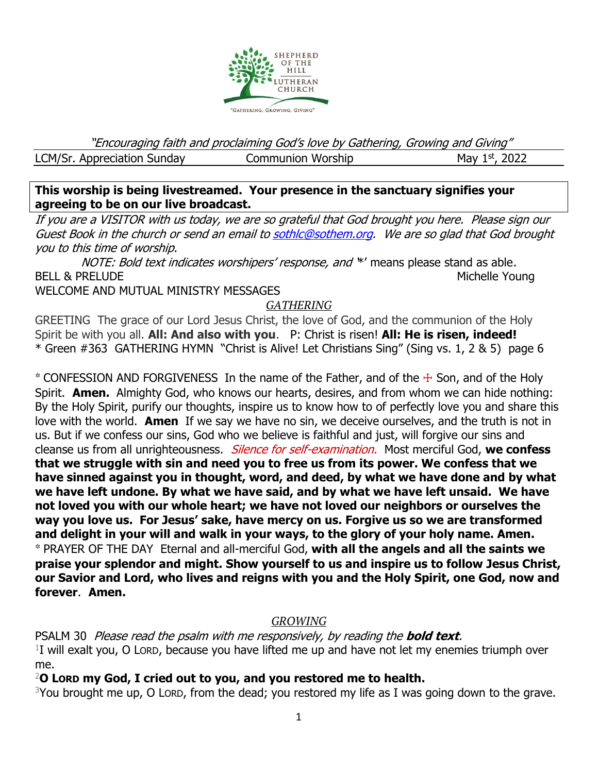

"Encouraging faith and proclaiming God's love by Gathering, Growing and Giving" LCM/Sr. Appreciation Sunday Communion Worship  $M$ ay 1st, 2022

**This worship is being livestreamed. Your presence in the sanctuary signifies your agreeing to be on our live broadcast.** 

If you are a VISITOR with us today, we are so grateful that God brought you here. Please sign our Guest Book in the church or send an email t[o sothlc@sothem.org.](mailto:sothlc@sothem.org) We are so glad that God brought you to this time of worship.

NOTE: Bold text indicates worshipers' response, and \*' means please stand as able. BELL & PRELUDE NOUNE ARE SERVICES AND THE SERVICES OF THE MICHELL AND MICHELL OUTLINE AND MICHELL OUTLINE AND MICHELL OUTLINE

WELCOME AND MUTUAL MINISTRY MESSAGES

# *GATHERING*

GREETING The grace of our Lord Jesus Christ, the love of God, and the communion of the Holy Spirit be with you all. **All: And also with you**. P: Christ is risen! **All: He is risen, indeed!** \* Green #363 GATHERING HYMN "Christ is Alive! Let Christians Sing" (Sing vs. 1, 2 & 5) page 6

\* CONFESSION AND FORGIVENESSIn the name of the Father, and of the ☩ Son, and of the Holy Spirit. **Amen.** Almighty God, who knows our hearts, desires, and from whom we can hide nothing: By the Holy Spirit, purify our thoughts, inspire us to know how to of perfectly love you and share this love with the world. **Amen** If we say we have no sin, we deceive ourselves, and the truth is not in us. But if we confess our sins, God who we believe is faithful and just, will forgive our sins and cleanse us from all unrighteousness. Silence for self-examination. Most merciful God, **we confess that we struggle with sin and need you to free us from its power. We confess that we have sinned against you in thought, word, and deed, by what we have done and by what we have left undone. By what we have said, and by what we have left unsaid. We have not loved you with our whole heart; we have not loved our neighbors or ourselves the way you love us. For Jesus' sake, have mercy on us. Forgive us so we are transformed and delight in your will and walk in your ways, to the glory of your holy name. Amen.** \* PRAYER OF THE DAY Eternal and all-merciful God, **with all the angels and all the saints we praise your splendor and might. Show yourself to us and inspire us to follow Jesus Christ, our Savior and Lord, who lives and reigns with you and the Holy Spirit, one God, now and forever**. **Amen.**

# *GROWING*

PSALM 30 Please read the psalm with me responsively, by reading the **bold text**.  $1$ I will exalt you, O Lorp, because you have lifted me up and have not let my enemies triumph over me.

<sup>2</sup>**O LORD my God, I cried out to you, and you restored me to health.**

 $3$ You brought me up, O LORD, from the dead; you restored my life as I was going down to the grave.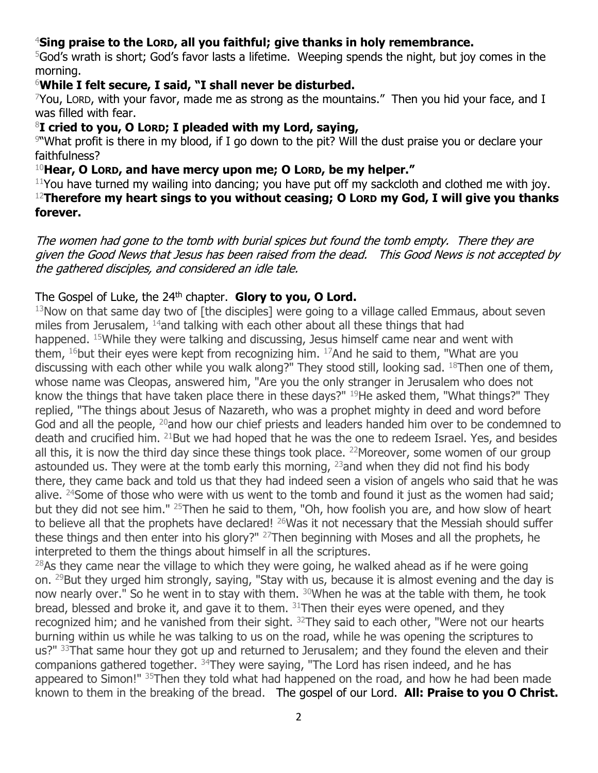# <sup>4</sup>**Sing praise to the LORD, all you faithful; give thanks in holy remembrance.**

<sup>5</sup>God's wrath is short; God's favor lasts a lifetime. Weeping spends the night, but joy comes in the morning.

# <sup>6</sup>**While I felt secure, I said, "I shall never be disturbed.**

 $7$ You, Lord, with your favor, made me as strong as the mountains." Then you hid your face, and I was filled with fear.

#### <sup>8</sup>**I cried to you, O LORD; I pleaded with my Lord, saying,**

9 "What profit is there in my blood, if I go down to the pit? Will the dust praise you or declare your faithfulness?

<sup>10</sup>**Hear, O LORD, and have mercy upon me; O LORD, be my helper."**

 $11$ You have turned my wailing into dancing; you have put off my sackcloth and clothed me with joy. <sup>12</sup>**Therefore my heart sings to you without ceasing; O LORD my God, I will give you thanks forever.**

The women had gone to the tomb with burial spices but found the tomb empty. There they are given the Good News that Jesus has been raised from the dead. This Good News is not accepted by the gathered disciples, and considered an idle tale.

# The Gospel of Luke, the 24<sup>th</sup> chapter. Glory to you, O Lord.

 $13$ Now on that same day two of [the disciples] were going to a village called Emmaus, about seven miles from Jerusalem, <sup>14</sup>and talking with each other about all these things that had happened. <sup>15</sup>While they were talking and discussing, Jesus himself came near and went with them,  $16$  but their eyes were kept from recognizing him.  $17$  And he said to them, "What are you discussing with each other while you walk along?" They stood still, looking sad. <sup>18</sup>Then one of them, whose name was Cleopas, answered him, "Are you the only stranger in Jerusalem who does not know the things that have taken place there in these days?"  $19$ He asked them, "What things?" They replied, "The things about Jesus of Nazareth, who was a prophet mighty in deed and word before God and all the people, <sup>20</sup>and how our chief priests and leaders handed him over to be condemned to death and crucified him. <sup>21</sup>But we had hoped that he was the one to redeem Israel. Yes, and besides all this, it is now the third day since these things took place. <sup>22</sup>Moreover, some women of our group astounded us. They were at the tomb early this morning,  $^{23}$  and when they did not find his body there, they came back and told us that they had indeed seen a vision of angels who said that he was alive.  $24$ Some of those who were with us went to the tomb and found it just as the women had said; but they did not see him." <sup>25</sup>Then he said to them, "Oh, how foolish you are, and how slow of heart to believe all that the prophets have declared! <sup>26</sup>Was it not necessary that the Messiah should suffer these things and then enter into his glory?" <sup>27</sup>Then beginning with Moses and all the prophets, he interpreted to them the things about himself in all the scriptures.

 $28$ As they came near the village to which they were going, he walked ahead as if he were going on. <sup>29</sup>But they urged him strongly, saying, "Stay with us, because it is almost evening and the day is now nearly over." So he went in to stay with them. <sup>30</sup>When he was at the table with them, he took bread, blessed and broke it, and gave it to them. <sup>31</sup>Then their eyes were opened, and they recognized him; and he vanished from their sight.  $32$ They said to each other, "Were not our hearts burning within us while he was talking to us on the road, while he was opening the scriptures to us?" 33That same hour they got up and returned to Jerusalem; and they found the eleven and their companions gathered together. <sup>34</sup>They were saying, "The Lord has risen indeed, and he has appeared to Simon!" <sup>35</sup>Then they told what had happened on the road, and how he had been made known to them in the breaking of the bread. The gospel of our Lord. **All: Praise to you O Christ.**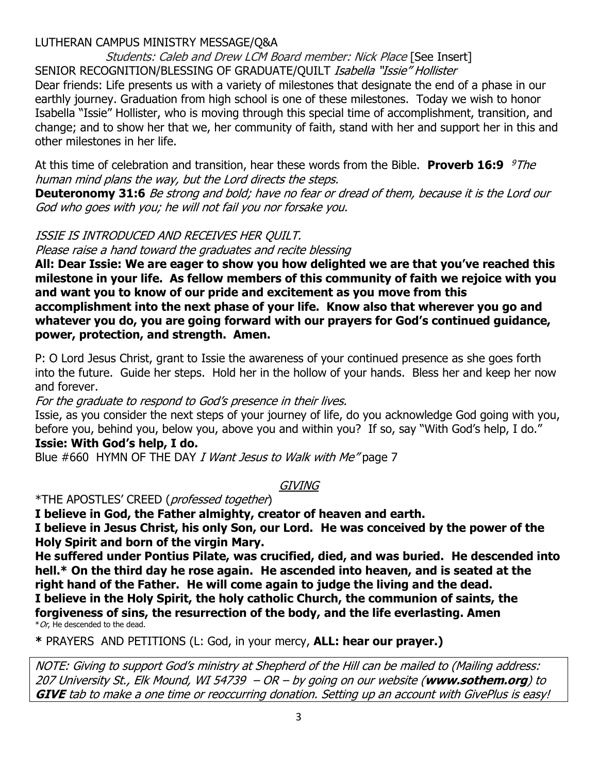### LUTHERAN CAMPUS MINISTRY MESSAGE/Q&A

Students: Caleb and Drew LCM Board member: Nick Place [See Insert] SENIOR RECOGNITION/BLESSING OF GRADUATE/QUILT Isabella "Issie" Hollister Dear friends: Life presents us with a variety of milestones that designate the end of a phase in our earthly journey. Graduation from high school is one of these milestones. Today we wish to honor Isabella "Issie" Hollister, who is moving through this special time of accomplishment, transition, and change; and to show her that we, her community of faith, stand with her and support her in this and other milestones in her life.

At this time of celebration and transition, hear these words from the Bible. **Proverb 16:9** *9The* human mind plans the way, but the Lord directs the steps.

**Deuteronomy 31:6** Be strong and bold; have no fear or dread of them, because it is the Lord our God who goes with you; he will not fail you nor forsake you.

#### ISSIE IS INTRODUCED AND RECEIVES HER QUILT.

Please raise <sup>a</sup> hand toward the graduates and recite blessing

**All: Dear Issie: We are eager to show you how delighted we are that you've reached this milestone in your life. As fellow members of this community of faith we rejoice with you and want you to know of our pride and excitement as you move from this accomplishment into the next phase of your life. Know also that wherever you go and whatever you do, you are going forward with our prayers for God's continued guidance, power, protection, and strength. Amen.**

P: O Lord Jesus Christ, grant to Issie the awareness of your continued presence as she goes forth into the future. Guide her steps. Hold her in the hollow of your hands. Bless her and keep her now and forever.

For the graduate to respond to God's presence in their lives.

Issie, as you consider the next steps of your journey of life, do you acknowledge God going with you, before you, behind you, below you, above you and within you? If so, say "With God's help, I do."

### **Issie: With God's help, I do.**

Blue #660 HYMN OF THE DAY I Want Jesus to Walk with Me" page 7

**GIVING** 

\*THE APOSTLES' CREED (professed together)

**I believe in God, the Father almighty, creator of heaven and earth.**

**I believe in Jesus Christ, his only Son, our Lord. He was conceived by the power of the Holy Spirit and born of the virgin Mary.**

**He suffered under Pontius Pilate, was crucified, died, and was buried. He descended into hell.\* On the third day he rose again. He ascended into heaven, and is seated at the right hand of the Father. He will come again to judge the living and the dead. I believe in the Holy Spirit, the holy catholic Church, the communion of saints, the forgiveness of sins, the resurrection of the body, and the life everlasting. Amen**  $*$  Or, He descended to the dead.

**\*** PRAYERS AND PETITIONS (L: God, in your mercy, **ALL: hear our prayer.)**

NOTE: Giving to support God's ministry at Shepherd of the Hill can be mailed to (Mailing address: 207 University St., Elk Mound, WI 54739 – OR – by going on our website (**www.sothem.org**) to **GIVE** tab to make a one time or reoccurring donation. Setting up an account with GivePlus is easy!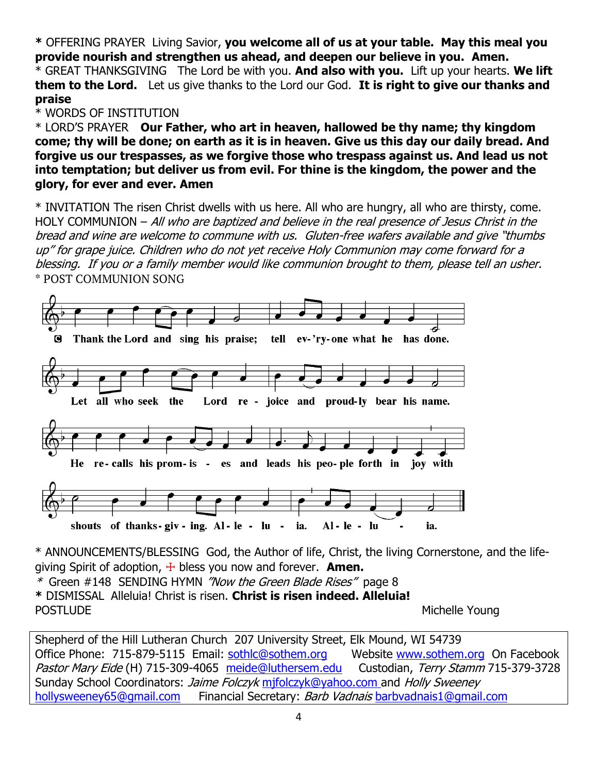**\*** OFFERING PRAYERLiving Savior, **you welcome all of us at your table. May this meal you provide nourish and strengthen us ahead, and deepen our believe in you. Amen.**

\* GREAT THANKSGIVING The Lord be with you. **And also with you.** Lift up your hearts. **We lift them to the Lord.** Let us give thanks to the Lord our God. **It is right to give our thanks and praise**

#### \* WORDS OF INSTITUTION

\* LORD'S PRAYER **Our Father, who art in heaven, hallowed be thy name; thy kingdom come; thy will be done; on earth as it is in heaven. Give us this day our daily bread. And forgive us our trespasses, as we forgive those who trespass against us. And lead us not into temptation; but deliver us from evil. For thine is the kingdom, the power and the glory, for ever and ever. Amen**

\* INVITATION The risen Christ dwells with us here. All who are hungry, all who are thirsty, come. HOLY COMMUNION - All who are baptized and believe in the real presence of Jesus Christ in the bread and wine are welcome to commune with us. Gluten-free wafers available and give "thumbs up" for grape juice. Children who do not yet receive Holy Communion may come forward for a blessing. If you or a family member would like communion brought to them, please tell an usher. \* POST COMMUNION SONG



\* ANNOUNCEMENTS/BLESSING God, the Author of life, Christ, the living Cornerstone, and the lifegiving Spirit of adoption, ☩ bless you now and forever. **Amen.**

\* [Green #148](https://members.sundaysandseasons.com/Music/Index/2021-1-31/2182) SENDING HYMN "Now the Green Blade Rises" page 8 **\*** DISMISSALAlleluia! Christ is risen. **Christ is risen indeed. Alleluia!** POSTLUDE **Michelle Young** 

Shepherd of the Hill Lutheran Church 207 University Street, Elk Mound, WI 54739 Office Phone: 715-879-5115 Email: [sothlc@sothem.org](mailto:sothlc@sothem.org) Website [www.sothem.org](http://www.sothem.org/) On Facebook Pastor Mary Eide (H) 715-309-4065 [meide@luthersem.edu](mailto:meide@luthersem.edu) Custodian, Terry Stamm 715-379-3728 Sunday School Coordinators: *Jaime Folczyk* mifolczyk@yahoo.com and Holly Sweeney [hollysweeney65@gmail.com](mailto:hollysweeney65@gmail.com) Financial Secretary: Barb Vadnais [barbvadnais1@gmail.com](mailto:barbvadnais1@gmail.com)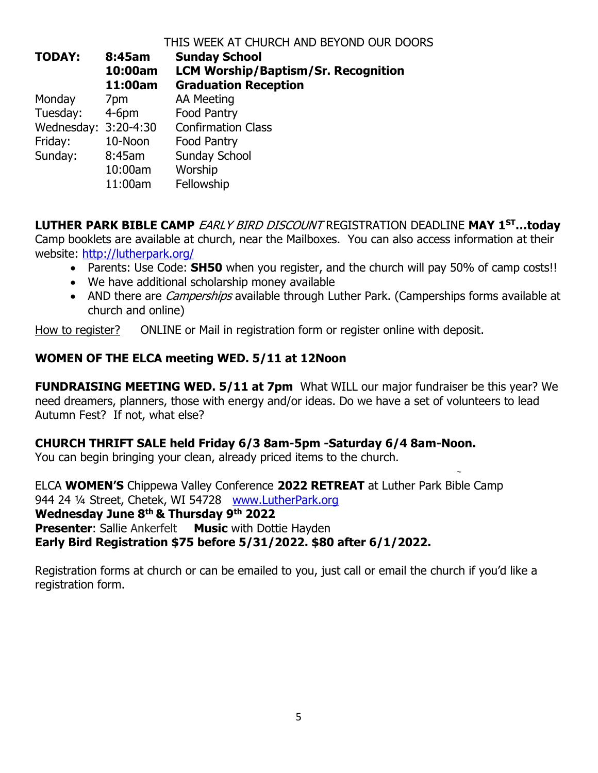#### THIS WEEK AT CHURCH AND BEYOND OUR DOORS

| <b>TODAY:</b>        | 8:45am<br>10:00am<br>11:00am | <b>Sunday School</b><br><b>LCM Worship/Baptism/Sr. Recognition</b><br><b>Graduation Reception</b> |
|----------------------|------------------------------|---------------------------------------------------------------------------------------------------|
| Monday               | 7pm                          | <b>AA Meeting</b>                                                                                 |
| Tuesday:             | $4-6$ pm                     | <b>Food Pantry</b>                                                                                |
| Wednesday: 3:20-4:30 |                              | <b>Confirmation Class</b>                                                                         |
| Friday:              | 10-Noon                      | <b>Food Pantry</b>                                                                                |
| Sunday:              | 8:45am                       | <b>Sunday School</b>                                                                              |
|                      | 10:00am                      | Worship                                                                                           |
|                      | 11:00am                      | Fellowship                                                                                        |

**LUTHER PARK BIBLE CAMP** EARLY BIRD DISCOUNT REGISTRATION DEADLINE **MAY 1ST…today** Camp booklets are available at church, near the Mailboxes. You can also access information at their website:<http://lutherpark.org/>

- Parents: Use Code: **SH50** when you register, and the church will pay 50% of camp costs!!
- We have additional scholarship money available
- AND there are *Camperships* available through Luther Park. (Camperships forms available at church and online)

How to register? ONLINE or Mail in registration form or register online with deposit.

### **WOMEN OF THE ELCA meeting WED. 5/11 at 12Noon**

**FUNDRAISING MEETING WED. 5/11 at 7pm** What WILL our major fundraiser be this year? We need dreamers, planners, those with energy and/or ideas. Do we have a set of volunteers to lead Autumn Fest? If not, what else?

#### **CHURCH THRIFT SALE held Friday 6/3 8am-5pm -Saturday 6/4 8am-Noon.**

You can begin bringing your clean, already priced items to the church.

ELCA **WOMEN'S** Chippewa Valley Conference **2022 RETREAT** at Luther Park Bible Camp 944 24 ¼ Street, Chetek, WI 54728 [www.LutherPark.org](http://www.lutherpark.org/) **Wednesday June 8th & Thursday 9th 2022 Presenter:** Sallie Ankerfelt **Music** with Dottie Hayden **Early Bird Registration \$75 before 5/31/2022. \$80 after 6/1/2022.**

Registration forms at church or can be emailed to you, just call or email the church if you'd like a registration form.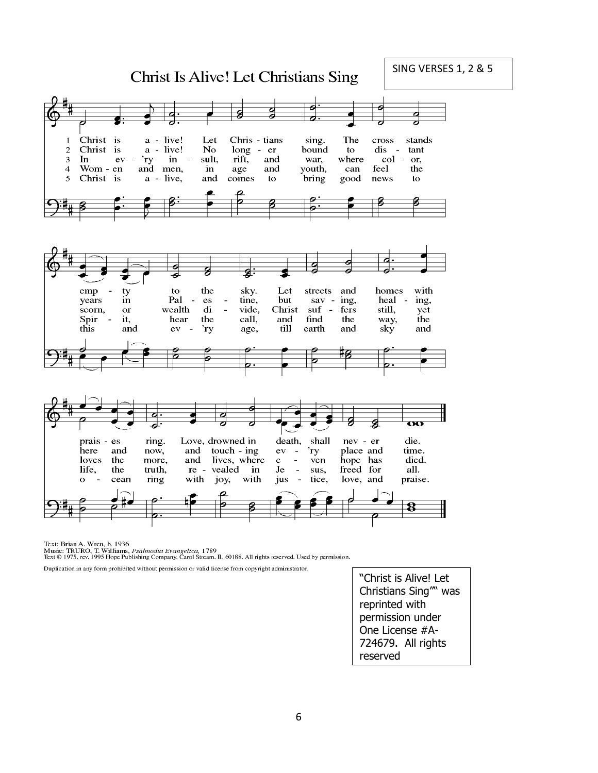SING VERSES 1, 2 & 5**Christ Is Alive! Let Christians Sing** व Christ is a - live! Chris - tians The Let stands  $\mathbf{1}$ sing. cross Christ is a - live! No. long - er bound  $dis$ tant  $\overline{c}$ to col -3 In ev  $\ddot{\phantom{a}}$  $r_y$ in  $\sim$ sult, rift, and war, where or, feel  $\overline{4}$ Wom - en and and youth, the men, in age can 5 Christ is a - live, and comes bring good news to to  $\frac{1}{2}$ 6 e g ℴ sky. emp  $\overline{a}$ ty to the Let streets and homes with Pal years  $\mathbf{e}\mathbf{s}$ tine, but sav - ing, heal ing, in  $\overline{\phantom{a}}$  $\overline{\phantom{a}}$ vide, scorn,  $\alpha$ r wealth  $\mathbf{d}$  $\overline{a}$ Christ  $\text{snf}$  fers still, yet Spir it, hear the call, and find the way, the this and  $ev -$ 'ry age, till earth and sky and  $\overline{\mathbf{v}}$ Love, drowned in death, shall nev - er die. prais  $-$ es ring. here and now, and touch - ing  ${\rm ev}$ 'ry place and time.  $\sim$ loves the more, and lives, where  $\sim$ ven hope has died.  $e$ sus, life, the truth, re - vealed in Je  $\blacksquare$ freed for all.  $\mathbf{o}$ cean ring with joy, with jus  $\overline{\phantom{a}}$ tice, love, and praise. 8

Text: Brian A. Wren, b. 1936 icat. Diam A. Wrett, 0. 1950<br>Music: TRURO, T. Williams, *Psalmodia Evangelica*, 1789<br>Text © 1975, rev. 1995 Hope Publishing Company, Carol Stream, IL 60188. All rights reserved. Used by permission.

Duplication in any form prohibited without permission or valid license from copyright administrator.

"Christ is Alive! Let Christians Sing"" was reprinted with permission under One License #A-724679. All rights reserved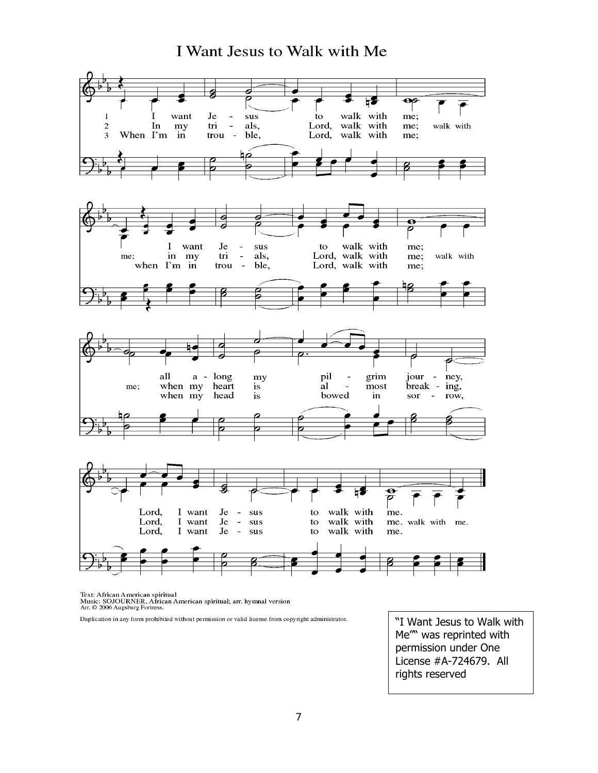# I Want Jesus to Walk with Me



Text: African American spiritual<br>Music: SOJOURNER, African American spiritual; arr. hymnal version<br>Arr. © 2006 Augsburg Fortress.

Duplication in any form prohibited without permission or valid license from copyright administrator.

"I Want Jesus to Walk with Me"" was reprinted with permission under One License #A-724679. All rights reserved